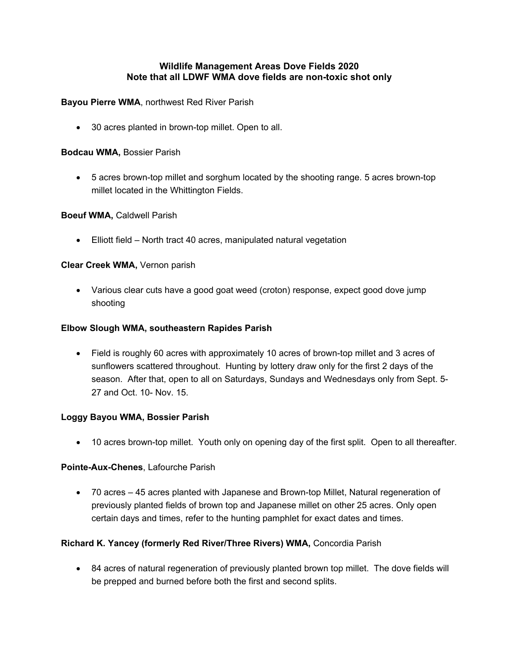# **Wildlife Management Areas Dove Fields 2020 Note that all LDWF WMA dove fields are non-toxic shot only**

## **Bayou Pierre WMA**, northwest Red River Parish

• 30 acres planted in brown-top millet. Open to all.

## **Bodcau WMA,** Bossier Parish

• 5 acres brown-top millet and sorghum located by the shooting range. 5 acres brown-top millet located in the Whittington Fields.

## **Boeuf WMA,** Caldwell Parish

• Elliott field – North tract 40 acres, manipulated natural vegetation

## **Clear Creek WMA,** Vernon parish

• Various clear cuts have a good goat weed (croton) response, expect good dove jump shooting

## **Elbow Slough WMA, southeastern Rapides Parish**

• Field is roughly 60 acres with approximately 10 acres of brown-top millet and 3 acres of sunflowers scattered throughout. Hunting by lottery draw only for the first 2 days of the season. After that, open to all on Saturdays, Sundays and Wednesdays only from Sept. 5- 27 and Oct. 10- Nov. 15.

## **Loggy Bayou WMA, Bossier Parish**

• 10 acres brown-top millet. Youth only on opening day of the first split. Open to all thereafter.

## **Pointe-Aux-Chenes**, Lafourche Parish

• 70 acres – 45 acres planted with Japanese and Brown-top Millet, Natural regeneration of previously planted fields of brown top and Japanese millet on other 25 acres. Only open certain days and times, refer to the hunting pamphlet for exact dates and times.

# **Richard K. Yancey (formerly Red River/Three Rivers) WMA,** Concordia Parish

• 84 acres of natural regeneration of previously planted brown top millet. The dove fields will be prepped and burned before both the first and second splits.